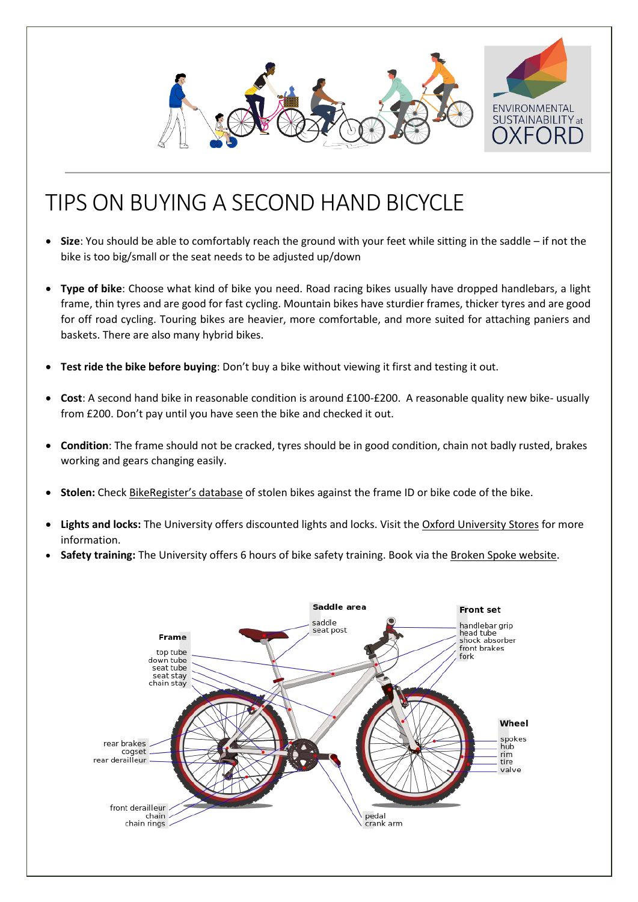

# TIPS ON BUYING A SECOND HAND BICYCLE

- **Size**: You should be able to comfortably reach the ground with your feet while sitting in the saddle if not the bike is too big/small or the seat needs to be adjusted up/down
- **Type of bike**: Choose what kind of bike you need. Road racing bikes usually have dropped handlebars, a light frame, thin tyres and are good for fast cycling. Mountain bikes have sturdier frames, thicker tyres and are good for off road cycling. Touring bikes are heavier, more comfortable, and more suited for attaching paniers and baskets. There are also many hybrid bikes.
- **Test ride the bike before buying**: Don't buy a bike without viewing it first and testing it out.
- **Cost**: A second hand bike in reasonable condition is around £100-£200. A reasonable quality new bike- usually from £200. Don't pay until you have seen the bike and checked it out.
- **Condition**: The frame should not be cracked, tyres should be in good condition, chain not badly rusted, brakes working and gears changing easily.
- **Stolen:** Check [BikeRegister's database](https://www.bikeregister.com/) of stolen bikes against the frame ID or bike code of the bike.
- **Lights and locks:** The University offers discounted lights and locks. Visit the [Oxford University Stores](https://www.oxforduniversitystores.co.uk/product-catalogue/estates-directorate/ou-estates-department/cycle-equipment/estates-services-cycle-equipment) for more information.
- **Safety training:** The University offers 6 hours of bike safety training. Book via th[e Broken Spoke website.](http://bsbcoop.org/what-we-do/cycle-training/)